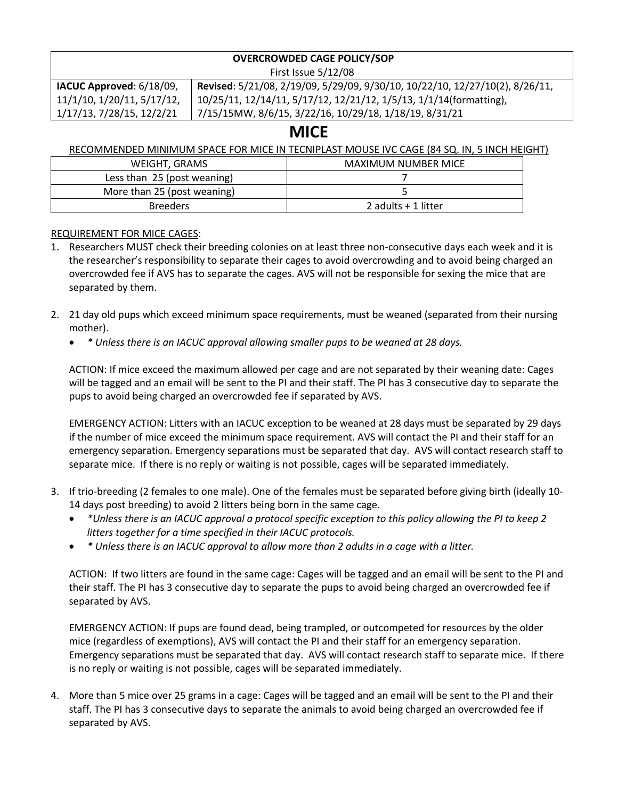#### **OVERCROWDED CAGE POLICY/SOP** First Issue 5/12/08

| IACUC Approved: 6/18/09,   | Revised: 5/21/08, 2/19/09, 5/29/09, 9/30/10, 10/22/10, 12/27/10(2), 8/26/11, |  |
|----------------------------|------------------------------------------------------------------------------|--|
| 11/1/10, 1/20/11, 5/17/12, | 10/25/11, 12/14/11, 5/17/12, 12/21/12, 1/5/13, 1/1/14(formatting),           |  |
| 1/17/13, 7/28/15, 12/2/21  | 7/15/15MW, 8/6/15, 3/22/16, 10/29/18, 1/18/19, 8/31/21                       |  |
|                            |                                                                              |  |

## **MICE**

#### RECOMMENDED MINIMUM SPACE FOR MICE IN TECNIPLAST MOUSE IVC CAGE (84 SQ. IN, 5 INCH HEIGHT)

| WEIGHT, GRAMS               | MAXIMUM NUMBER MICE |
|-----------------------------|---------------------|
| Less than 25 (post weaning) |                     |
| More than 25 (post weaning) |                     |
| <b>Breeders</b>             | 2 adults + 1 litter |

#### REQUIREMENT FOR MICE CAGES:

- 1. Researchers MUST check their breeding colonies on at least three non-consecutive days each week and it is the researcher's responsibility to separate their cages to avoid overcrowding and to avoid being charged an overcrowded fee if AVS has to separate the cages. AVS will not be responsible for sexing the mice that are separated by them.
- 2. 21 day old pups which exceed minimum space requirements, must be weaned (separated from their nursing mother).
	- *\* Unless there is an IACUC approval allowing smaller pups to be weaned at 28 days.*

ACTION: If mice exceed the maximum allowed per cage and are not separated by their weaning date: Cages will be tagged and an email will be sent to the PI and their staff. The PI has 3 consecutive day to separate the pups to avoid being charged an overcrowded fee if separated by AVS.

EMERGENCY ACTION: Litters with an IACUC exception to be weaned at 28 days must be separated by 29 days if the number of mice exceed the minimum space requirement. AVS will contact the PI and their staff for an emergency separation. Emergency separations must be separated that day. AVS will contact research staff to separate mice. If there is no reply or waiting is not possible, cages will be separated immediately.

- 3. If trio-breeding (2 females to one male). One of the females must be separated before giving birth (ideally 10- 14 days post breeding) to avoid 2 litters being born in the same cage.
	- *\*Unless there is an IACUC approval a protocol specific exception to this policy allowing the PI to keep 2 litters together for a time specified in their IACUC protocols.*
	- *\* Unless there is an IACUC approval to allow more than 2 adults in a cage with a litter.*

ACTION: If two litters are found in the same cage: Cages will be tagged and an email will be sent to the PI and their staff. The PI has 3 consecutive day to separate the pups to avoid being charged an overcrowded fee if separated by AVS.

EMERGENCY ACTION: If pups are found dead, being trampled, or outcompeted for resources by the older mice (regardless of exemptions), AVS will contact the PI and their staff for an emergency separation. Emergency separations must be separated that day. AVS will contact research staff to separate mice. If there is no reply or waiting is not possible, cages will be separated immediately.

4. More than 5 mice over 25 grams in a cage: Cages will be tagged and an email will be sent to the PI and their staff. The PI has 3 consecutive days to separate the animals to avoid being charged an overcrowded fee if separated by AVS.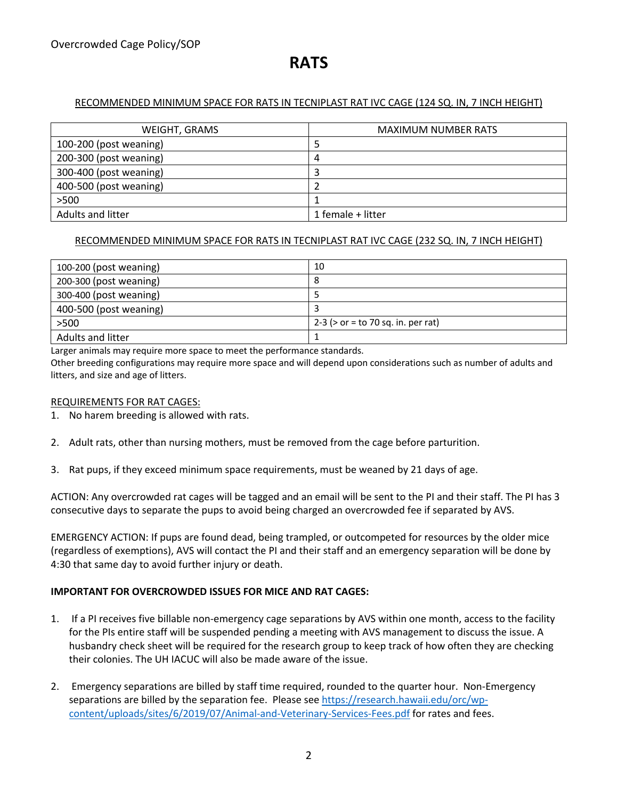# **RATS**

#### RECOMMENDED MINIMUM SPACE FOR RATS IN TECNIPLAST RAT IVC CAGE (124 SQ. IN, 7 INCH HEIGHT)

| WEIGHT, GRAMS            | <b>MAXIMUM NUMBER RATS</b> |
|--------------------------|----------------------------|
| 100-200 (post weaning)   |                            |
| 200-300 (post weaning)   | 4                          |
| 300-400 (post weaning)   |                            |
| 400-500 (post weaning)   |                            |
| >500                     |                            |
| <b>Adults and litter</b> | 1 female + litter          |

#### RECOMMENDED MINIMUM SPACE FOR RATS IN TECNIPLAST RAT IVC CAGE (232 SQ. IN, 7 INCH HEIGHT)

| 100-200 (post weaning)   | 10                                    |
|--------------------------|---------------------------------------|
| 200-300 (post weaning)   | 8                                     |
| 300-400 (post weaning)   |                                       |
| 400-500 (post weaning)   |                                       |
| >500                     | 2-3 ( $>$ or = to 70 sq. in. per rat) |
| <b>Adults and litter</b> |                                       |

Larger animals may require more space to meet the performance standards.

Other breeding configurations may require more space and will depend upon considerations such as number of adults and litters, and size and age of litters.

#### REQUIREMENTS FOR RAT CAGES:

- 1. No harem breeding is allowed with rats.
- 2. Adult rats, other than nursing mothers, must be removed from the cage before parturition.
- 3. Rat pups, if they exceed minimum space requirements, must be weaned by 21 days of age.

ACTION: Any overcrowded rat cages will be tagged and an email will be sent to the PI and their staff. The PI has 3 consecutive days to separate the pups to avoid being charged an overcrowded fee if separated by AVS.

EMERGENCY ACTION: If pups are found dead, being trampled, or outcompeted for resources by the older mice (regardless of exemptions), AVS will contact the PI and their staff and an emergency separation will be done by 4:30 that same day to avoid further injury or death.

#### **IMPORTANT FOR OVERCROWDED ISSUES FOR MICE AND RAT CAGES:**

- 1. If a PI receives five billable non-emergency cage separations by AVS within one month, access to the facility for the PIs entire staff will be suspended pending a meeting with AVS management to discuss the issue. A husbandry check sheet will be required for the research group to keep track of how often they are checking their colonies. The UH IACUC will also be made aware of the issue.
- 2. Emergency separations are billed by staff time required, rounded to the quarter hour. Non-Emergency separations are billed by the separation fee. Please see https://research.hawaii.edu/orc/wpcontent/uploads/sites/6/2019/07/Animal-and-Veterinary-Services-Fees.pdf for rates and fees.